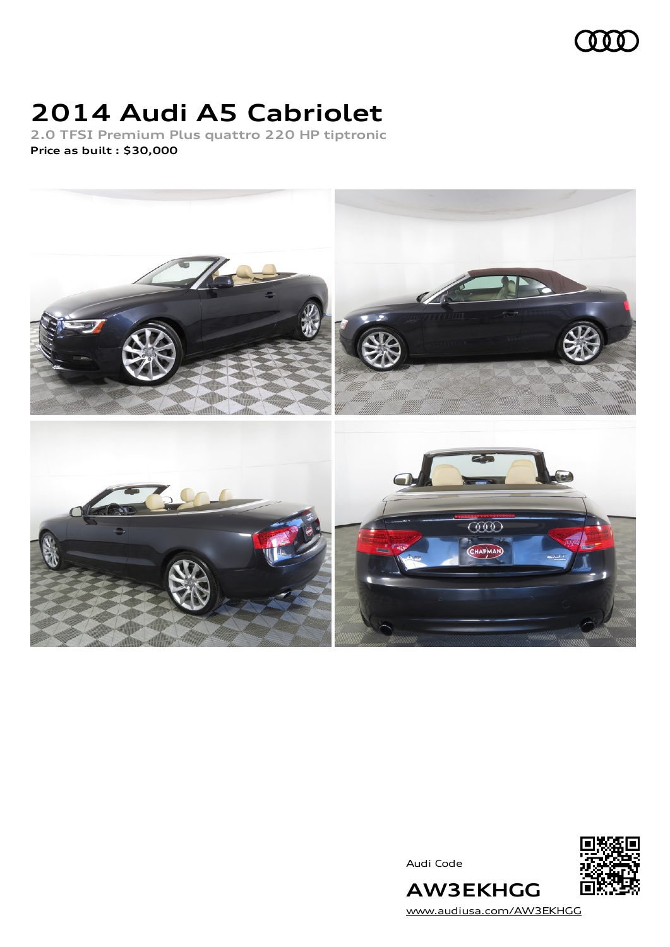## $000$

# **2014 Audi A5 Cabriolet**

**2.0 TFSI Premium Plus quattro 220 HP tiptronic Price as built [:](#page-9-0) \$30,000**



Audi Code



**AW3EKHGG** [www.audiusa.com/AW3EKHGG](https://www.audiusa.com/AW3EKHGG)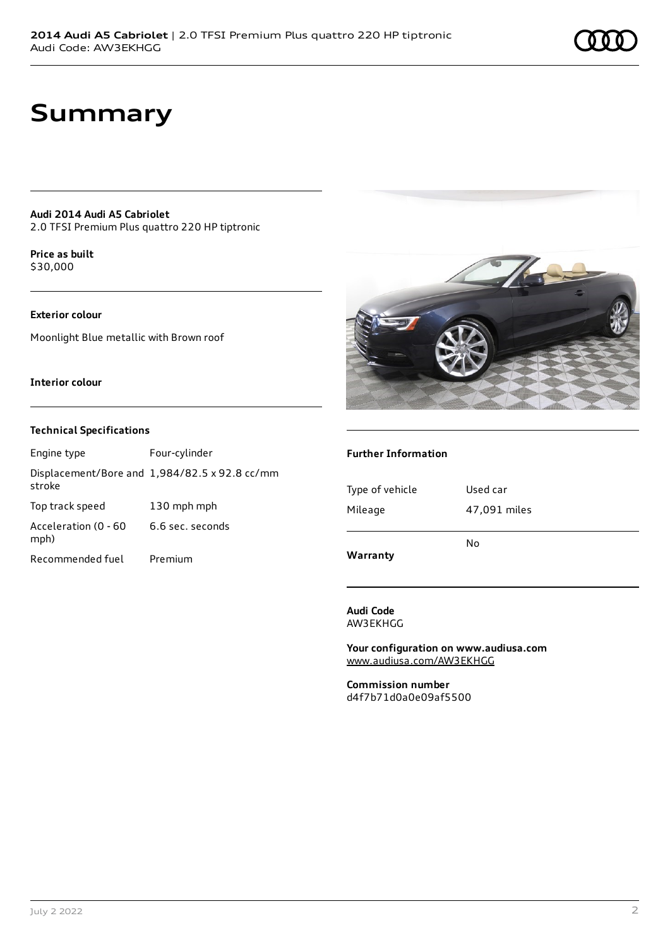## **Summary**

**Audi 2014 Audi A5 Cabriolet** 2.0 TFSI Premium Plus quattro 220 HP tiptronic

**Price as buil[t](#page-9-0)** \$30,000

## **Exterior colour**

Moonlight Blue metallic with Brown roof

### **Interior colour**

### **Technical Specifications**

Engine type Four-cylinder Displacement/Bore and 1,984/82.5 x 92.8 cc/mm stroke Top track speed 130 mph mph Acceleration (0 - 60 mph) 6.6 sec. seconds Recommended fuel Premium



### **Further Information**

| Warranty        | No           |
|-----------------|--------------|
| Mileage         | 47,091 miles |
| Type of vehicle | Used car     |
|                 |              |

**Audi Code** AW3EKHGG

**Your configuration on www.audiusa.com** [www.audiusa.com/AW3EKHGG](https://www.audiusa.com/AW3EKHGG)

**Commission number** d4f7b71d0a0e09af5500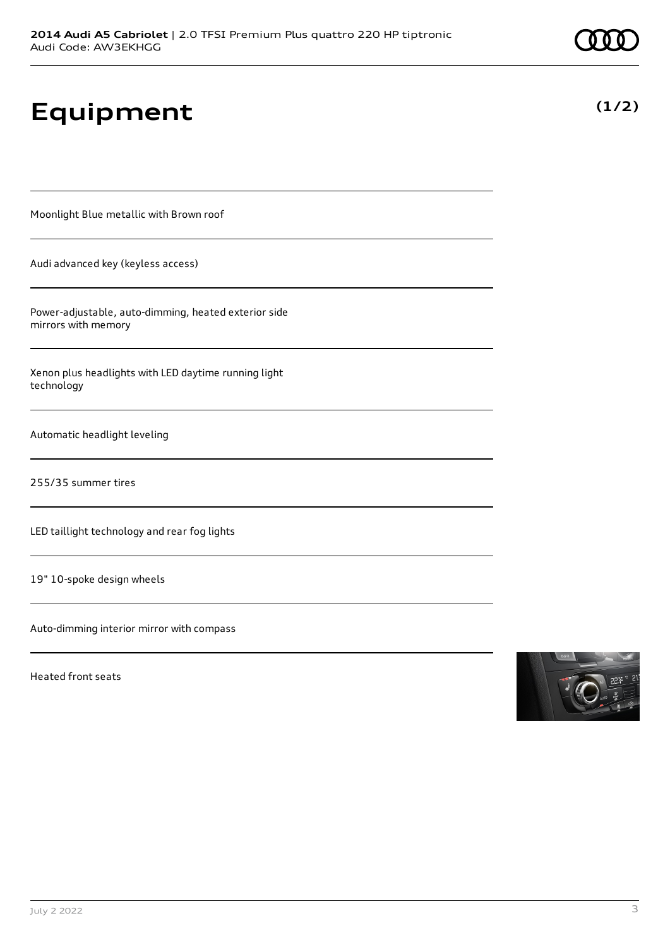**Equipment**

Moonlight Blue metallic with Brown roof

Audi advanced key (keyless access)

Power-adjustable, auto-dimming, heated exterior side mirrors with memory

Xenon plus headlights with LED daytime running light technology

Automatic headlight leveling

255/35 summer tires

LED taillight technology and rear fog lights

19" 10-spoke design wheels

Auto-dimming interior mirror with compass

Heated front seats





**(1/2)**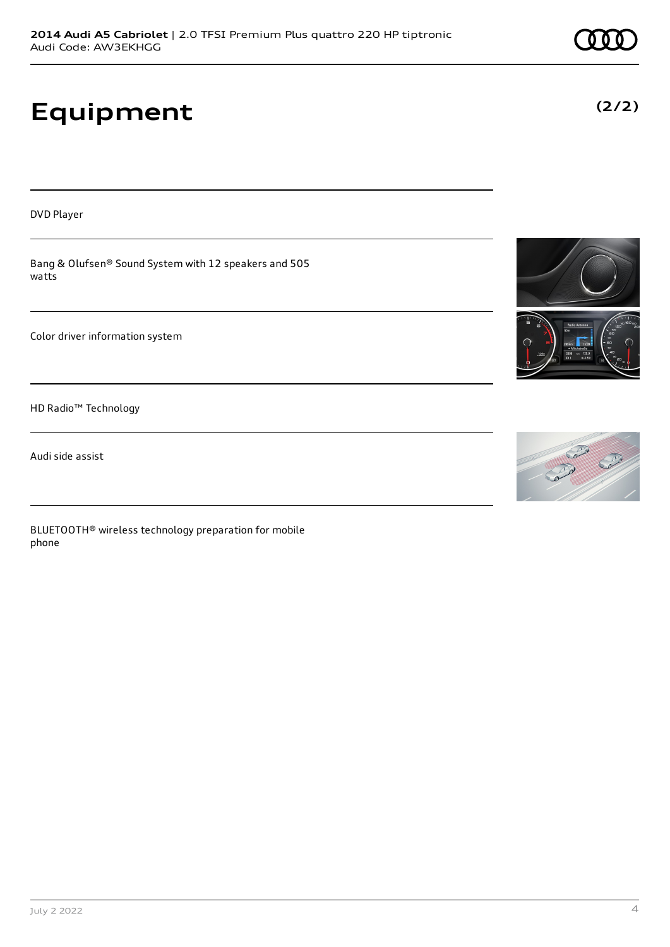## **Equipment**

DVD Player

Bang & Olufsen® Sound System with 12 speakers and 505 watts

Color driver information system

HD Radio™ Technology

Audi side assist

BLUETOOTH® wireless technology preparation for mobile phone







**(2/2)**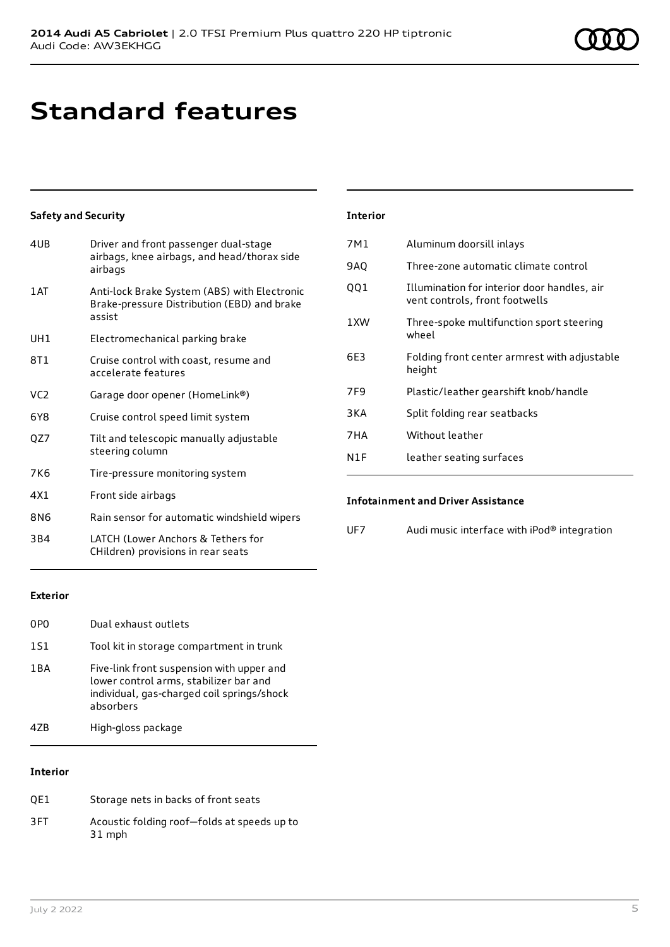## **Standard features**

## **Safety and Security**

| 4UB             | Driver and front passenger dual-stage<br>airbags, knee airbags, and head/thorax side<br>airbags       |
|-----------------|-------------------------------------------------------------------------------------------------------|
| 1 AT            | Anti-lock Brake System (ABS) with Electronic<br>Brake-pressure Distribution (EBD) and brake<br>assist |
| UH1             | Electromechanical parking brake                                                                       |
| 8T1             | Cruise control with coast, resume and<br>accelerate features                                          |
| VC <sub>2</sub> | Garage door opener (HomeLink®)                                                                        |
| 6Y8             | Cruise control speed limit system                                                                     |
| QZ7             | Tilt and telescopic manually adjustable<br>steering column                                            |
| 7K6             | Tire-pressure monitoring system                                                                       |
| 4X1             | Front side airbags                                                                                    |
| 8N6             | Rain sensor for automatic windshield wipers                                                           |
| 3B4             | LATCH (Lower Anchors & Tethers for<br>CHildren) provisions in rear seats                              |

### **Interior**

| 7M1   | Aluminum doorsill inlays                                                      |
|-------|-------------------------------------------------------------------------------|
| 9AQ   | Three-zone automatic climate control                                          |
| QQ1   | Illumination for interior door handles, air<br>vent controls, front footwells |
| 1 XW  | Three-spoke multifunction sport steering<br>wheel                             |
| 6E3   | Folding front center armrest with adjustable<br>height                        |
| 7F9   | Plastic/leather gearshift knob/handle                                         |
| 3 K A | Split folding rear seatbacks                                                  |
| 7HA   | Without leather                                                               |
| N1F   | leather seating surfaces                                                      |

## **Infotainment and Driver Assistance**

| UF7 | Audi music interface with iPod® integration |  |
|-----|---------------------------------------------|--|
|-----|---------------------------------------------|--|

### **Exterior**

| 0PO   | Dual exhaust outlets                                                                                                                           |
|-------|------------------------------------------------------------------------------------------------------------------------------------------------|
| 1S1   | Tool kit in storage compartment in trunk                                                                                                       |
| 1 B A | Five-link front suspension with upper and<br>lower control arms, stabilizer bar and<br>individual, gas-charged coil springs/shock<br>absorbers |
| 47R   | High-gloss package                                                                                                                             |

## **Interior**

| OE1 | Storage nets in backs of front seats                  |
|-----|-------------------------------------------------------|
| 3FT | Acoustic folding roof-folds at speeds up to<br>31 mph |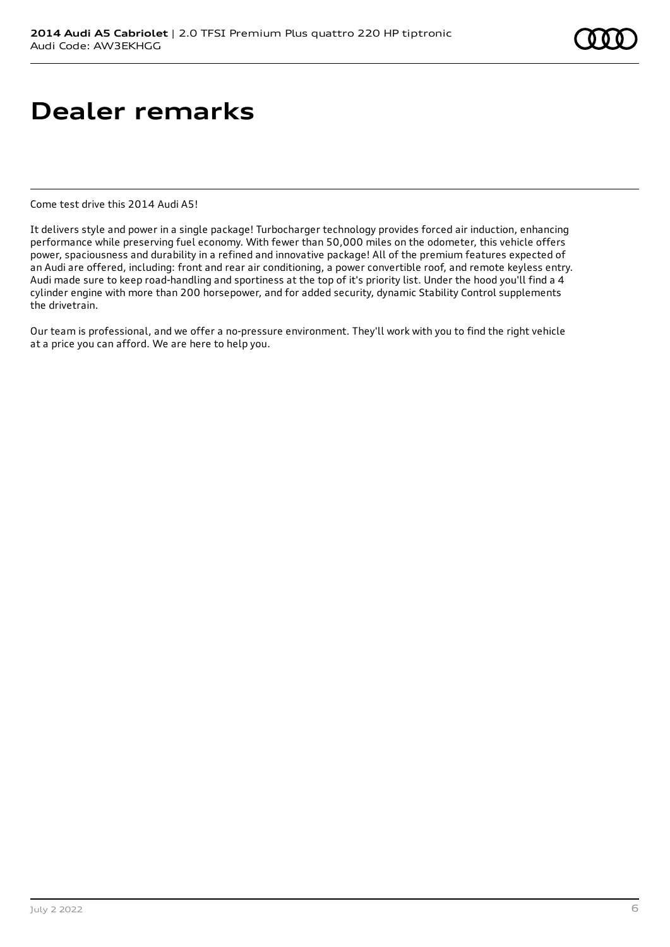## **Dealer remarks**

Come test drive this 2014 Audi A5!

It delivers style and power in a single package! Turbocharger technology provides forced air induction, enhancing performance while preserving fuel economy. With fewer than 50,000 miles on the odometer, this vehicle offers power, spaciousness and durability in a refined and innovative package! All of the premium features expected of an Audi are offered, including: front and rear air conditioning, a power convertible roof, and remote keyless entry. Audi made sure to keep road-handling and sportiness at the top of it's priority list. Under the hood you'll find a 4 cylinder engine with more than 200 horsepower, and for added security, dynamic Stability Control supplements the drivetrain.

Our team is professional, and we offer a no-pressure environment. They'll work with you to find the right vehicle at a price you can afford. We are here to help you.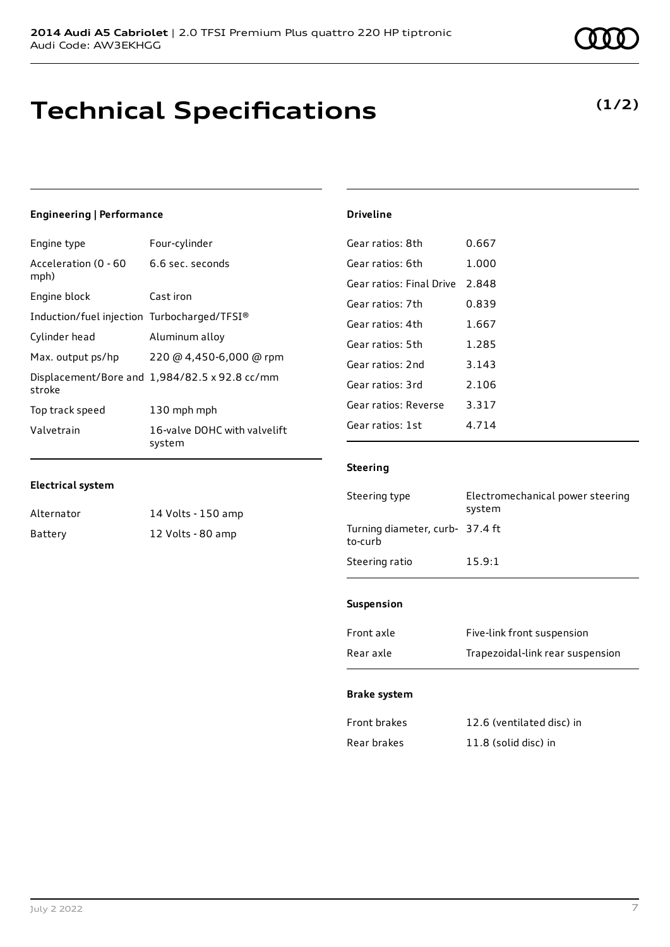## **Technical Specifications**

## **(1/2)**

## **Engineering | Performance**

| Engine type                                 | Four-cylinder                                 |
|---------------------------------------------|-----------------------------------------------|
| Acceleration (0 - 60<br>mph)                | 6.6 sec. seconds                              |
| Engine block                                | Cast iron                                     |
| Induction/fuel injection Turbocharged/TFSI® |                                               |
| Cylinder head                               | Aluminum alloy                                |
| Max. output ps/hp                           | 220 @ 4,450-6,000 @ rpm                       |
| stroke                                      | Displacement/Bore and 1,984/82.5 x 92.8 cc/mm |
| Top track speed                             | 130 mph mph                                   |
| Valvetrain                                  | 16-valve DOHC with valvelift<br>system        |

## **Electrical system**

| Alternator | 14 Volts - 150 amp |
|------------|--------------------|
| Battery    | 12 Volts - 80 amp  |

### **Driveline**

| Gear ratios: 8th         | 0.667 |
|--------------------------|-------|
| Gear ratios: 6th         | 1.000 |
| Gear ratios: Final Drive | 2.848 |
| Gear ratios: 7th         | 0.839 |
| Gear ratios: 4th         | 1.667 |
| Gear ratios: 5th         | 1.285 |
| Gear ratios: 2nd         | 3.143 |
| Gear ratios: 3rd         | 2.106 |
| Gear ratios: Reverse     | 3.317 |
| Gear ratios: 1st         | 4.714 |
|                          |       |

## **Steering**

| Steering type                             | Electromechanical power steering<br>system |
|-------------------------------------------|--------------------------------------------|
| Turning diameter, curb-37.4 ft<br>to-curb |                                            |
| Steering ratio                            | 15.9:1                                     |

### **Suspension**

| Front axle | Five-link front suspension       |
|------------|----------------------------------|
| Rear axle  | Trapezoidal-link rear suspension |

### **Brake system**

| Front brakes | 12.6 (ventilated disc) in |
|--------------|---------------------------|
| Rear brakes  | 11.8 (solid disc) in      |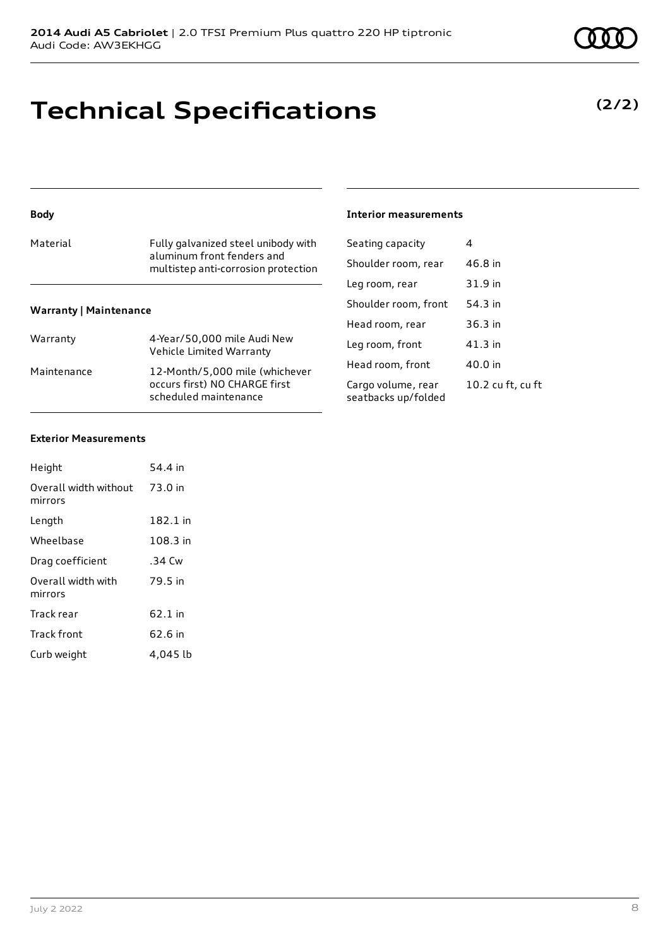## **Technical Specifications**

## **Body**

| Material | Fully galvanized steel unibody with<br>aluminum front fenders and<br>multistep anti-corrosion protection |
|----------|----------------------------------------------------------------------------------------------------------|
|          |                                                                                                          |

## **Warranty | Maintenance**

| Warranty    | 4-Year/50,000 mile Audi New<br>Vehicle Limited Warranty                                  |
|-------------|------------------------------------------------------------------------------------------|
| Maintenance | 12-Month/5,000 mile (whichever<br>occurs first) NO CHARGE first<br>scheduled maintenance |

## **Interior measurements**

| Seating capacity                          | 4                 |
|-------------------------------------------|-------------------|
| Shoulder room, rear                       | 46.8 in           |
| Leg room, rear                            | 31.9 in           |
| Shoulder room, front                      | 54.3 in           |
| Head room, rear                           | $36.3$ in         |
| Leg room, front                           | 41.3 in           |
| Head room, front                          | 40.0 in           |
| Cargo volume, rear<br>seatbacks up/folded | 10.2 cu ft, cu ft |
|                                           |                   |

### **Exterior Measurements**

| Height                           | 54.4 in  |
|----------------------------------|----------|
| Overall width without<br>mirrors | 73.0 in  |
| Length                           | 182.1 in |
| Wheelbase                        | 108.3 in |
| Drag coefficient                 | .34 Cw   |
| Overall width with<br>mirrors    | 79.5 in  |
| Track rear                       | 62.1 in  |
| Track front                      | 62.6 in  |
| Curb weight                      | 4.045 lb |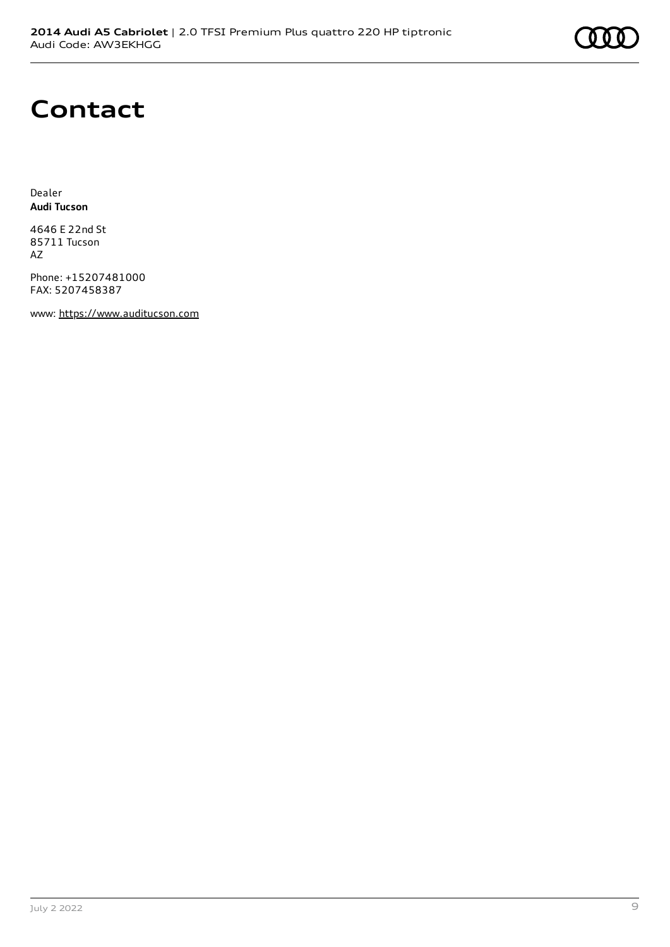

## **Contact**

Dealer **Audi Tucson**

4646 E 22nd St 85711 Tucson AZ

Phone: +15207481000 FAX: 5207458387

www: [https://www.auditucson.com](https://www.auditucson.com/)